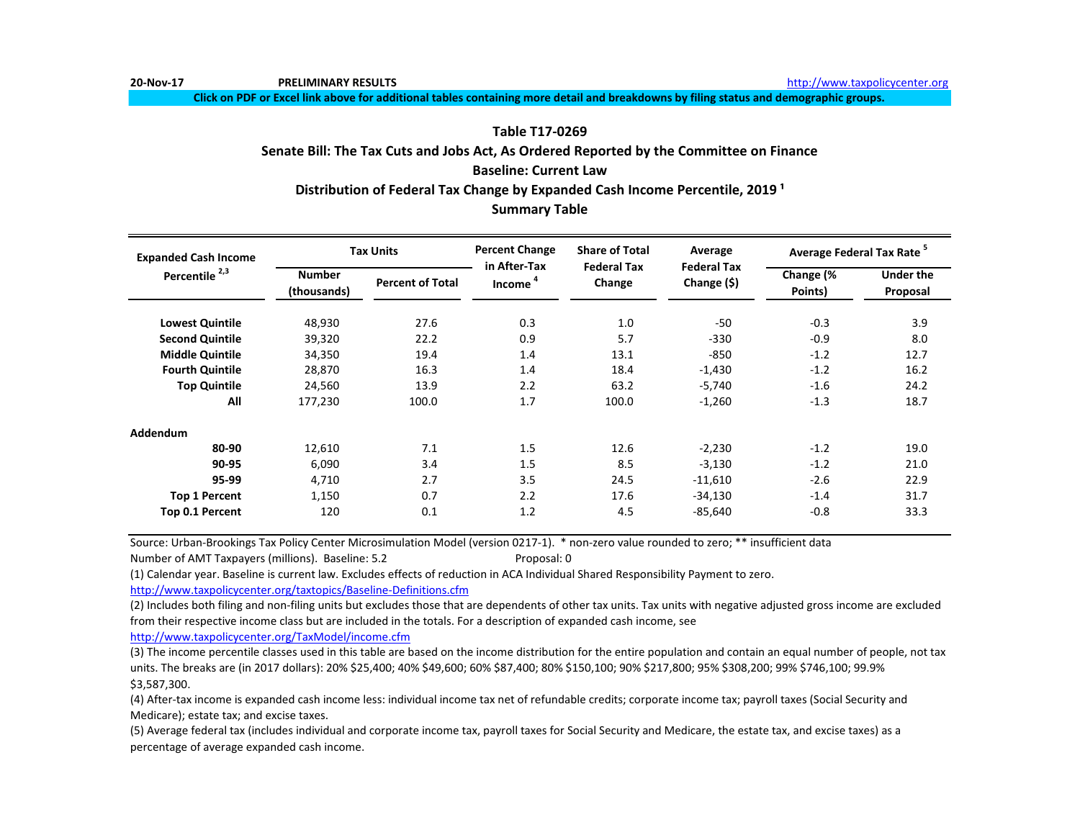**Click on PDF or Excel link above for additional tables containing more detail and breakdowns by filing status and demographic groups.**

# **Table T17-0269**

**Senate Bill: The Tax Cuts and Jobs Act, As Ordered Reported by the Committee on Finance Baseline: Current Law Summary Table** Distribution of Federal Tax Change by Expanded Cash Income Percentile, 2019<sup>1</sup>

| <b>Expanded Cash Income</b> |                              | <b>Tax Units</b>        | <b>Percent Change</b><br>in After-Tax | <b>Share of Total</b><br><b>Federal Tax</b> | Average                              | <b>Average Federal Tax Rate<sup>5</sup></b> |                              |
|-----------------------------|------------------------------|-------------------------|---------------------------------------|---------------------------------------------|--------------------------------------|---------------------------------------------|------------------------------|
| Percentile <sup>2,3</sup>   | <b>Number</b><br>(thousands) | <b>Percent of Total</b> | Income <sup>4</sup>                   | Change                                      | <b>Federal Tax</b><br>Change $($ \$) | Change (%<br>Points)                        | <b>Under the</b><br>Proposal |
| <b>Lowest Quintile</b>      | 48,930                       | 27.6                    | 0.3                                   | 1.0                                         | -50                                  | $-0.3$                                      | 3.9                          |
| <b>Second Quintile</b>      | 39,320                       | 22.2                    | 0.9                                   | 5.7                                         | $-330$                               | $-0.9$                                      | 8.0                          |
| <b>Middle Quintile</b>      | 34,350                       | 19.4                    | 1.4                                   | 13.1                                        | $-850$                               | $-1.2$                                      | 12.7                         |
| <b>Fourth Quintile</b>      | 28,870                       | 16.3                    | 1.4                                   | 18.4                                        | $-1,430$                             | $-1.2$                                      | 16.2                         |
| <b>Top Quintile</b>         | 24,560                       | 13.9                    | 2.2                                   | 63.2                                        | $-5,740$                             | $-1.6$                                      | 24.2                         |
| All                         | 177,230                      | 100.0                   | 1.7                                   | 100.0                                       | $-1,260$                             | $-1.3$                                      | 18.7                         |
| <b>Addendum</b>             |                              |                         |                                       |                                             |                                      |                                             |                              |
| 80-90                       | 12,610                       | 7.1                     | 1.5                                   | 12.6                                        | $-2,230$                             | $-1.2$                                      | 19.0                         |
| 90-95                       | 6,090                        | 3.4                     | 1.5                                   | 8.5                                         | $-3,130$                             | $-1.2$                                      | 21.0                         |
| 95-99                       | 4,710                        | 2.7                     | 3.5                                   | 24.5                                        | $-11,610$                            | $-2.6$                                      | 22.9                         |
| <b>Top 1 Percent</b>        | 1,150                        | 0.7                     | 2.2                                   | 17.6                                        | $-34,130$                            | $-1.4$                                      | 31.7                         |
| Top 0.1 Percent             | 120                          | 0.1                     | 1.2                                   | 4.5                                         | $-85,640$                            | $-0.8$                                      | 33.3                         |

Source: Urban-Brookings Tax Policy Center Microsimulation Model (version 0217-1). \* non-zero value rounded to zero; \*\* insufficient data Number of AMT Taxpayers (millions). Baseline: 5.2 Proposal: 0

(1) Calendar year. Baseline is current law. Excludes effects of reduction in ACA Individual Shared Responsibility Payment to zero.

[http://www.taxpolicycente](http://www.taxpolicycenter.org/taxtopics/Baseline-Definitions.cfm)r.org/taxtopics/Baseline-Definitions.cfm

(2) Includes both filing and non-filing units but excludes those that are dependents of other tax units. Tax units with negative adjusted gross income are excluded from their respective income class but are included in the totals. For a description of expanded cash income, see

[http://www.taxpolicycente](http://www.taxpolicycenter.org/TaxModel/income.cfm)r.org/TaxModel/income.cfm

(3) The income percentile classes used in this table are based on the income distribution for the entire population and contain an equal number of people, not tax units. The breaks are (in 2017 dollars): 20% \$25,400; 40% \$49,600; 60% \$87,400; 80% \$150,100; 90% \$217,800; 95% \$308,200; 99% \$746,100; 99.9% \$3,587,300.

(4) After-tax income is expanded cash income less: individual income tax net of refundable credits; corporate income tax; payroll taxes (Social Security and Medicare); estate tax; and excise taxes.

(5) Average federal tax (includes individual and corporate income tax, payroll taxes for Social Security and Medicare, the estate tax, and excise taxes) as a percentage of average expanded cash income.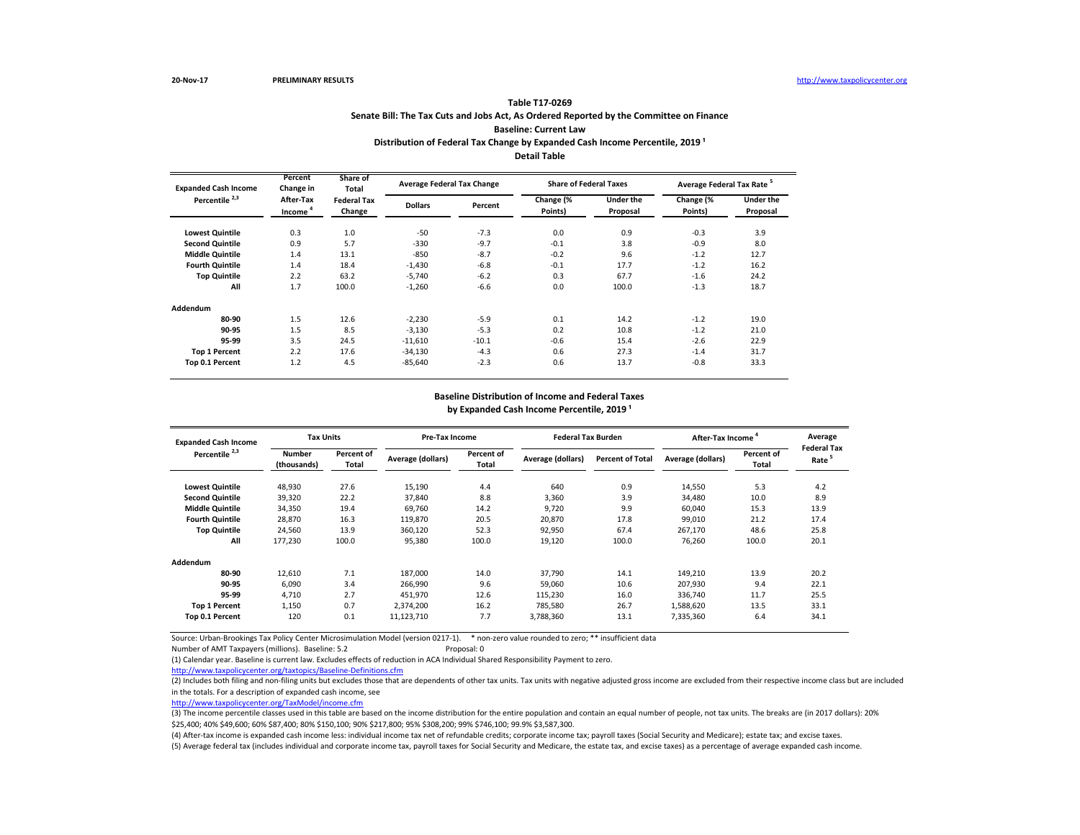## **Senate Bill: The Tax Cuts and Jobs Act, As Ordered Reported by the Committee on Finance Baseline: Current Law Table T17-0269** Distribution of Federal Tax Change by Expanded Cash Income Percentile, 2019<sup>1</sup> **Detail Table**

| <b>Expanded Cash Income</b> | Percent<br>Change in             | Share of<br>Total            | <b>Average Federal Tax Change</b> |         | <b>Share of Federal Taxes</b> |                              | Average Federal Tax Rate <sup>5</sup> |                       |
|-----------------------------|----------------------------------|------------------------------|-----------------------------------|---------|-------------------------------|------------------------------|---------------------------------------|-----------------------|
| Percentile <sup>2,3</sup>   | After-Tax<br>Income <sup>4</sup> | <b>Federal Tax</b><br>Change | <b>Dollars</b>                    | Percent | Change (%<br>Points)          | <b>Under the</b><br>Proposal | Change (%<br>Points)                  | Under the<br>Proposal |
| <b>Lowest Quintile</b>      | 0.3                              | 1.0                          | $-50$                             | $-7.3$  | 0.0                           | 0.9                          | $-0.3$                                | 3.9                   |
| <b>Second Quintile</b>      | 0.9                              | 5.7                          | $-330$                            | $-9.7$  | $-0.1$                        | 3.8                          | $-0.9$                                | 8.0                   |
| <b>Middle Quintile</b>      | 1.4                              | 13.1                         | $-850$                            | $-8.7$  | $-0.2$                        | 9.6                          | $-1.2$                                | 12.7                  |
| <b>Fourth Quintile</b>      | 1.4                              | 18.4                         | $-1,430$                          | $-6.8$  | $-0.1$                        | 17.7                         | $-1.2$                                | 16.2                  |
| <b>Top Quintile</b>         | 2.2                              | 63.2                         | $-5,740$                          | $-6.2$  | 0.3                           | 67.7                         | $-1.6$                                | 24.2                  |
| All                         | 1.7                              | 100.0                        | $-1,260$                          | $-6.6$  | 0.0                           | 100.0                        | $-1.3$                                | 18.7                  |
| Addendum                    |                                  |                              |                                   |         |                               |                              |                                       |                       |
| 80-90                       | 1.5                              | 12.6                         | $-2,230$                          | $-5.9$  | 0.1                           | 14.2                         | $-1.2$                                | 19.0                  |
| 90-95                       | 1.5                              | 8.5                          | $-3,130$                          | $-5.3$  | 0.2                           | 10.8                         | $-1.2$                                | 21.0                  |
| 95-99                       | 3.5                              | 24.5                         | $-11,610$                         | $-10.1$ | $-0.6$                        | 15.4                         | $-2.6$                                | 22.9                  |
| <b>Top 1 Percent</b>        | 2.2                              | 17.6                         | $-34,130$                         | $-4.3$  | 0.6                           | 27.3                         | $-1.4$                                | 31.7                  |
| Top 0.1 Percent             | 1.2                              | 4.5                          | $-85,640$                         | $-2.3$  | 0.6                           | 13.7                         | $-0.8$                                | 33.3                  |

### **Baseline Distribution of Income and Federal Taxes** by Expanded Cash Income Percentile, 2019<sup>1</sup>

| <b>Expanded Cash Income</b> | <b>Tax Units</b>             |                     | Pre-Tax Income    |                     |                   | <b>Federal Tax Burden</b> |                   | After-Tax Income    | Average<br><b>Federal Tax</b> |
|-----------------------------|------------------------------|---------------------|-------------------|---------------------|-------------------|---------------------------|-------------------|---------------------|-------------------------------|
| Percentile <sup>2,3</sup>   | <b>Number</b><br>(thousands) | Percent of<br>Total | Average (dollars) | Percent of<br>Total | Average (dollars) | <b>Percent of Total</b>   | Average (dollars) | Percent of<br>Total | Rate                          |
| <b>Lowest Quintile</b>      | 48,930                       | 27.6                | 15,190            | 4.4                 | 640               | 0.9                       | 14,550            | 5.3                 | 4.2                           |
| <b>Second Quintile</b>      | 39,320                       | 22.2                | 37,840            | 8.8                 | 3.360             | 3.9                       | 34.480            | 10.0                | 8.9                           |
| <b>Middle Quintile</b>      | 34,350                       | 19.4                | 69,760            | 14.2                | 9.720             | 9.9                       | 60.040            | 15.3                | 13.9                          |
| <b>Fourth Quintile</b>      | 28,870                       | 16.3                | 119.870           | 20.5                | 20.870            | 17.8                      | 99.010            | 21.2                | 17.4                          |
| <b>Top Quintile</b>         | 24,560                       | 13.9                | 360,120           | 52.3                | 92,950            | 67.4                      | 267,170           | 48.6                | 25.8                          |
| All                         | 177,230                      | 100.0               | 95,380            | 100.0               | 19,120            | 100.0                     | 76.260            | 100.0               | 20.1                          |
| Addendum                    |                              |                     |                   |                     |                   |                           |                   |                     |                               |
| 80-90                       | 12,610                       | 7.1                 | 187,000           | 14.0                | 37.790            | 14.1                      | 149,210           | 13.9                | 20.2                          |
| 90-95                       | 6.090                        | 3.4                 | 266.990           | 9.6                 | 59.060            | 10.6                      | 207,930           | 9.4                 | 22.1                          |
| 95-99                       | 4,710                        | 2.7                 | 451,970           | 12.6                | 115,230           | 16.0                      | 336,740           | 11.7                | 25.5                          |
| <b>Top 1 Percent</b>        | 1,150                        | 0.7                 | 2.374.200         | 16.2                | 785.580           | 26.7                      | 1.588.620         | 13.5                | 33.1                          |
| Top 0.1 Percent             | 120                          | 0.1                 | 11,123,710        | 7.7                 | 3,788,360         | 13.1                      | 7,335,360         | 6.4                 | 34.1                          |

Source: Urban-Brookings Tax Policy Center Microsimulation Model (version 0217-1). \* non-zero value rounded to zero; \*\* insufficient data

Number of AMT Taxpayers (millions). Baseline: 5.2 Proposal: 0

(1) Calendar year. Baseline is current law. Excludes effects of reduction in ACA Individual Shared Responsibility Payment to zero.

<http://www.taxpolicycenter.org/taxtopics/Baseline-Definitions.cfm>

(2) Includes both filing and non-filing units but excludes those that are dependents of other tax units. Tax units with negative adjusted gross income are excluded from their respective income class but are included in the totals. For a description of expanded cash income, see

[http://www.taxpolicycente](http://www.taxpolicycenter.org/TaxModel/income.cfm)r.org/TaxModel/income.cfm

(3) The income percentile classes used in this table are based on the income distribution for the entire population and contain an equal number of people, not tax units. The breaks are (in 2017 dollars): 20% \$25,400; 40% \$49,600; 60% \$87,400; 80% \$150,100; 90% \$217,800; 95% \$308,200; 99% \$746,100; 99.9% \$3,587,300.

(5) Average federal tax (includes individual and corporate income tax, payroll taxes for Social Security and Medicare, the estate tax, and excise taxes) as a percentage of average expanded cash income. (4) After-tax income is expanded cash income less: individual income tax net of refundable credits; corporate income tax; payroll taxes (Social Security and Medicare); estate tax; and excise taxes.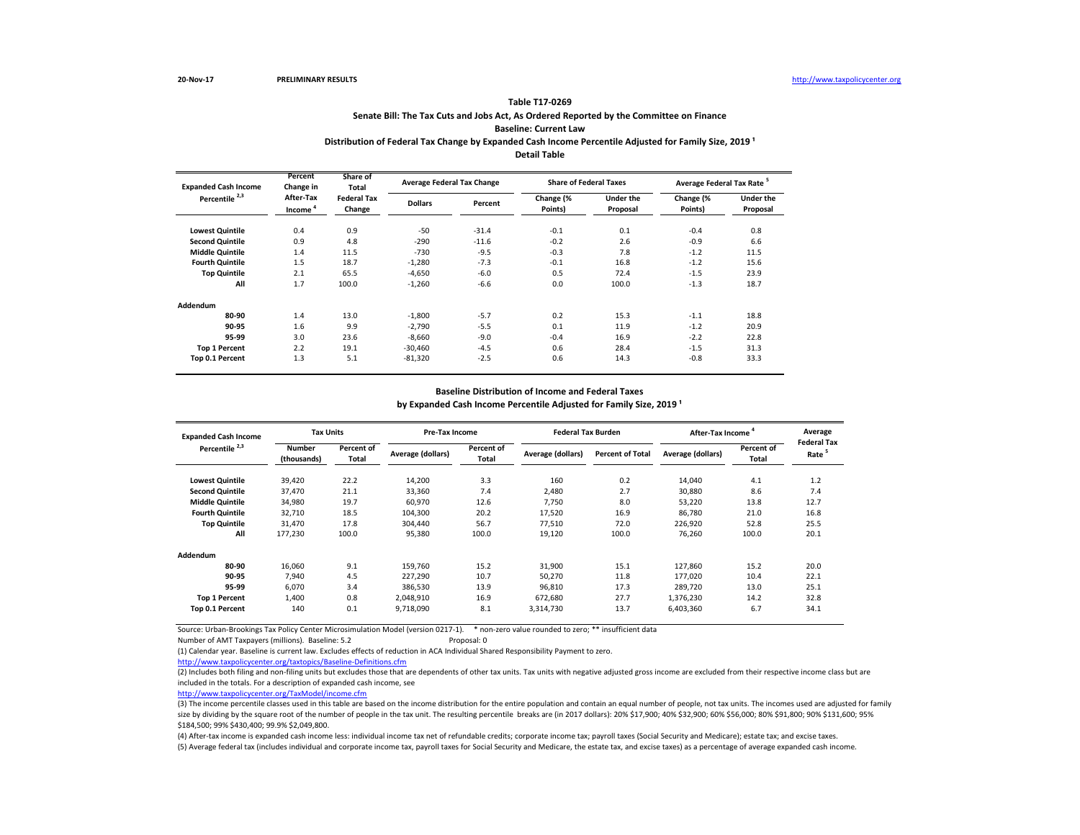# **Senate Bill: The Tax Cuts and Jobs Act, As Ordered Reported by the Committee on Finance Baseline: Current Law Table T17-0269**

# Distribution of Federal Tax Change by Expanded Cash Income Percentile Adjusted for Family Size, 2019<sup>1</sup>

**Detail Table**

| <b>Expanded Cash Income</b> | Percent<br>Change in             | Share of<br>Total            | <b>Average Federal Tax Change</b> |         |                      | <b>Share of Federal Taxes</b> | Average Federal Tax Rate <sup>5</sup> |                              |  |
|-----------------------------|----------------------------------|------------------------------|-----------------------------------|---------|----------------------|-------------------------------|---------------------------------------|------------------------------|--|
| Percentile <sup>2,3</sup>   | After-Tax<br>Income <sup>4</sup> | <b>Federal Tax</b><br>Change | <b>Dollars</b>                    | Percent | Change (%<br>Points) | <b>Under the</b><br>Proposal  | Change (%<br>Points)                  | <b>Under the</b><br>Proposal |  |
| <b>Lowest Quintile</b>      | 0.4                              | 0.9                          | $-50$                             | $-31.4$ | $-0.1$               | 0.1                           | $-0.4$                                | 0.8                          |  |
| <b>Second Quintile</b>      | 0.9                              | 4.8                          | $-290$                            | $-11.6$ | $-0.2$               | 2.6                           | $-0.9$                                | 6.6                          |  |
| <b>Middle Quintile</b>      | 1.4                              | 11.5                         | $-730$                            | $-9.5$  | $-0.3$               | 7.8                           | $-1.2$                                | 11.5                         |  |
| <b>Fourth Quintile</b>      | 1.5                              | 18.7                         | $-1,280$                          | $-7.3$  | $-0.1$               | 16.8                          | $-1.2$                                | 15.6                         |  |
| <b>Top Quintile</b>         | 2.1                              | 65.5                         | $-4,650$                          | $-6.0$  | 0.5                  | 72.4                          | $-1.5$                                | 23.9                         |  |
| All                         | 1.7                              | 100.0                        | $-1.260$                          | $-6.6$  | 0.0                  | 100.0                         | $-1.3$                                | 18.7                         |  |
| Addendum                    |                                  |                              |                                   |         |                      |                               |                                       |                              |  |
| 80-90                       | 1.4                              | 13.0                         | $-1.800$                          | $-5.7$  | 0.2                  | 15.3                          | $-1.1$                                | 18.8                         |  |
| 90-95                       | 1.6                              | 9.9                          | $-2.790$                          | $-5.5$  | 0.1                  | 11.9                          | $-1.2$                                | 20.9                         |  |
| 95-99                       | 3.0                              | 23.6                         | $-8.660$                          | $-9.0$  | $-0.4$               | 16.9                          | $-2.2$                                | 22.8                         |  |
| <b>Top 1 Percent</b>        | 2.2                              | 19.1                         | $-30,460$                         | $-4.5$  | 0.6                  | 28.4                          | $-1.5$                                | 31.3                         |  |
| Top 0.1 Percent             | 1.3                              | 5.1                          | $-81,320$                         | $-2.5$  | 0.6                  | 14.3                          | $-0.8$                                | 33.3                         |  |

#### **Baseline Distribution of Income and Federal Taxes**

by Expanded Cash Income Percentile Adjusted for Family Size, 2019<sup>1</sup>

| <b>Expanded Cash Income</b> | <b>Tax Units</b>             |                     | <b>Pre-Tax Income</b> |                     | <b>Federal Tax Burden</b> |                         | After-Tax Income <sup>4</sup> |                     | Average                                 |
|-----------------------------|------------------------------|---------------------|-----------------------|---------------------|---------------------------|-------------------------|-------------------------------|---------------------|-----------------------------------------|
| Percentile <sup>2,3</sup>   | <b>Number</b><br>(thousands) | Percent of<br>Total | Average (dollars)     | Percent of<br>Total | Average (dollars)         | <b>Percent of Total</b> | Average (dollars)             | Percent of<br>Total | <b>Federal Tax</b><br>Rate <sup>5</sup> |
| <b>Lowest Quintile</b>      | 39,420                       | 22.2                | 14,200                | 3.3                 | 160                       | 0.2                     | 14,040                        | 4.1                 | 1.2                                     |
| <b>Second Quintile</b>      | 37,470                       | 21.1                | 33,360                | 7.4                 | 2,480                     | 2.7                     | 30.880                        | 8.6                 | 7.4                                     |
| <b>Middle Quintile</b>      | 34,980                       | 19.7                | 60,970                | 12.6                | 7,750                     | 8.0                     | 53,220                        | 13.8                | 12.7                                    |
| <b>Fourth Quintile</b>      | 32,710                       | 18.5                | 104,300               | 20.2                | 17,520                    | 16.9                    | 86.780                        | 21.0                | 16.8                                    |
| <b>Top Quintile</b>         | 31,470                       | 17.8                | 304,440               | 56.7                | 77,510                    | 72.0                    | 226,920                       | 52.8                | 25.5                                    |
| All                         | 177,230                      | 100.0               | 95,380                | 100.0               | 19,120                    | 100.0                   | 76,260                        | 100.0               | 20.1                                    |
| <b>Addendum</b>             |                              |                     |                       |                     |                           |                         |                               |                     |                                         |
| 80-90                       | 16,060                       | 9.1                 | 159.760               | 15.2                | 31,900                    | 15.1                    | 127.860                       | 15.2                | 20.0                                    |
| 90-95                       | 7.940                        | 4.5                 | 227,290               | 10.7                | 50,270                    | 11.8                    | 177.020                       | 10.4                | 22.1                                    |
| 95-99                       | 6,070                        | 3.4                 | 386,530               | 13.9                | 96,810                    | 17.3                    | 289,720                       | 13.0                | 25.1                                    |
| <b>Top 1 Percent</b>        | 1,400                        | 0.8                 | 2,048,910             | 16.9                | 672,680                   | 27.7                    | 1,376,230                     | 14.2                | 32.8                                    |
| Top 0.1 Percent             | 140                          | 0.1                 | 9,718,090             | 8.1                 | 3,314,730                 | 13.7                    | 6,403,360                     | 6.7                 | 34.1                                    |

Source: Urban-Brookings Tax Policy Center Microsimulation Model (version 0217-1). \* non-zero value rounded to zero; \*\* insufficient data

Number of AMT Taxpayers (millions). Baseline: 5.2 Proposal: 0

(1) Calendar year. Baseline is current law. Excludes effects of reduction in ACA Individual Shared Responsibility Payment to zero.

<http://www.taxpolicycenter.org/taxtopics/Baseline-Definitions.cfm>

(2) Includes both filing and non-filing units but excludes those that are dependents of other tax units. Tax units with negative adjusted gross income are excluded from their respective income class but are included in the totals. For a description of expanded cash income, see

[http://www.taxpolicycente](http://www.taxpolicycenter.org/TaxModel/income.cfm)r.org/TaxModel/income.cfm

(3) The income percentile classes used in this table are based on the income distribution for the entire population and contain an equal number of people, not tax units. The incomes used are adjusted for family size by dividing by the square root of the number of people in the tax unit. The resulting percentile breaks are (in 2017 dollars): 20% \$17,900; 40% \$32,900; 60% \$56,000; 80% \$91,800; 90% \$13,600; 90% \$131,600; 95% \$184,500; 99% \$430,400; 99.9% \$2,049,800.

(5) Average federal tax (includes individual and corporate income tax, payroll taxes for Social Security and Medicare, the estate tax, and excise taxes) as a percentage of average expanded cash income. (4) After-tax income is expanded cash income less: individual income tax net of refundable credits; corporate income tax; payroll taxes (Social Security and Medicare); estate tax; and excise taxes.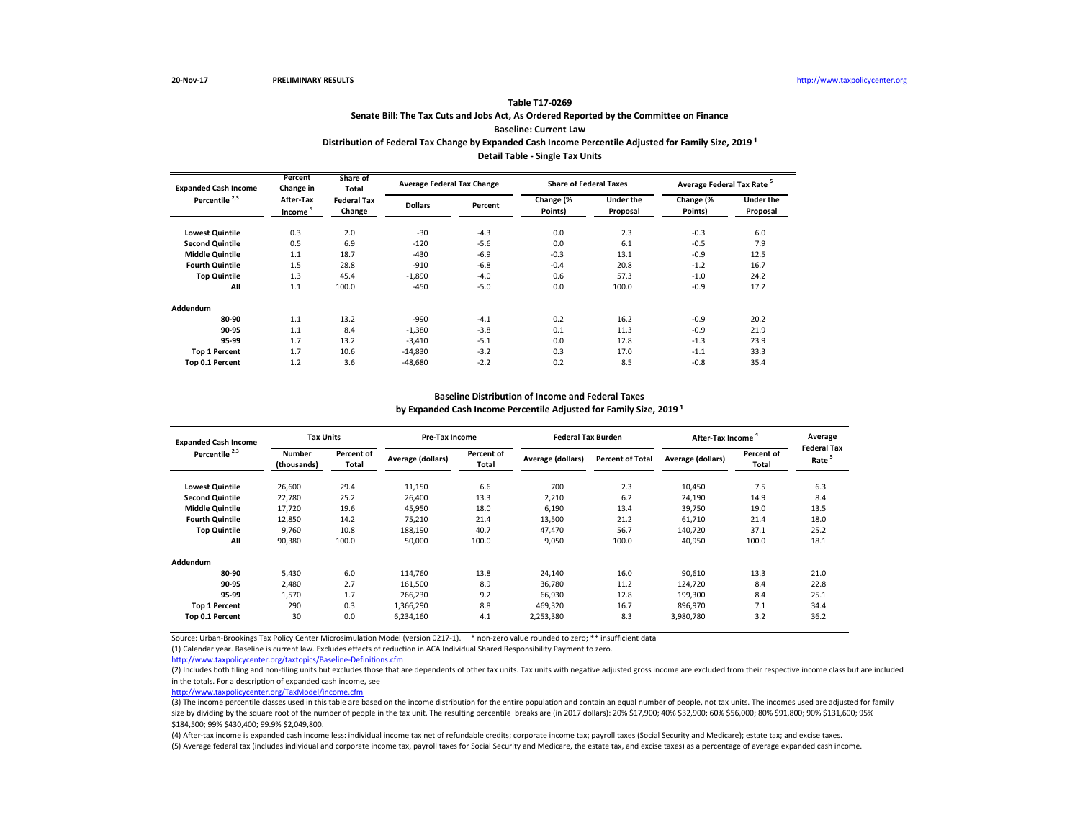# **Senate Bill: The Tax Cuts and Jobs Act, As Ordered Reported by the Committee on Finance Baseline: Current Law Table T17-0269** Distribution of Federal Tax Change by Expanded Cash Income Percentile Adjusted for Family Size, 2019<sup>1</sup> **Detail Table - Single Tax Units**

| <b>Expanded Cash Income</b> | Percent<br>Change in             | Share of<br>Total            | <b>Average Federal Tax Change</b> |         | <b>Share of Federal Taxes</b> |                              | Average Federal Tax Rate <sup>5</sup> |                       |
|-----------------------------|----------------------------------|------------------------------|-----------------------------------|---------|-------------------------------|------------------------------|---------------------------------------|-----------------------|
| Percentile <sup>2,3</sup>   | After-Tax<br>Income <sup>4</sup> | <b>Federal Tax</b><br>Change | <b>Dollars</b>                    | Percent | Change (%<br>Points)          | <b>Under the</b><br>Proposal | Change (%<br>Points)                  | Under the<br>Proposal |
| <b>Lowest Quintile</b>      | 0.3                              | 2.0                          | $-30$                             | $-4.3$  | 0.0                           | 2.3                          | $-0.3$                                | 6.0                   |
| <b>Second Quintile</b>      | 0.5                              | 6.9                          | $-120$                            | $-5.6$  | 0.0                           | 6.1                          | $-0.5$                                | 7.9                   |
| <b>Middle Quintile</b>      | 1.1                              | 18.7                         | $-430$                            | $-6.9$  | $-0.3$                        | 13.1                         | $-0.9$                                | 12.5                  |
| <b>Fourth Quintile</b>      | 1.5                              | 28.8                         | $-910$                            | $-6.8$  | $-0.4$                        | 20.8                         | $-1.2$                                | 16.7                  |
| <b>Top Quintile</b>         | 1.3                              | 45.4                         | $-1,890$                          | $-4.0$  | 0.6                           | 57.3                         | $-1.0$                                | 24.2                  |
| All                         | 1.1                              | 100.0                        | $-450$                            | $-5.0$  | 0.0                           | 100.0                        | $-0.9$                                | 17.2                  |
| Addendum                    |                                  |                              |                                   |         |                               |                              |                                       |                       |
| 80-90                       | 1.1                              | 13.2                         | $-990$                            | $-4.1$  | 0.2                           | 16.2                         | $-0.9$                                | 20.2                  |
| 90-95                       | 1.1                              | 8.4                          | $-1,380$                          | $-3.8$  | 0.1                           | 11.3                         | $-0.9$                                | 21.9                  |
| 95-99                       | 1.7                              | 13.2                         | $-3,410$                          | $-5.1$  | 0.0                           | 12.8                         | $-1.3$                                | 23.9                  |
| <b>Top 1 Percent</b>        | 1.7                              | 10.6                         | $-14,830$                         | $-3.2$  | 0.3                           | 17.0                         | $-1.1$                                | 33.3                  |
| Top 0.1 Percent             | 1.2                              | 3.6                          | $-48,680$                         | $-2.2$  | 0.2                           | 8.5                          | $-0.8$                                | 35.4                  |

#### **Baseline Distribution of Income and Federal Taxes**

by Expanded Cash Income Percentile Adjusted for Family Size, 2019<sup>1</sup>

| <b>Expanded Cash Income</b> | <b>Tax Units</b>             |                     | <b>Pre-Tax Income</b> |                            | <b>Federal Tax Burden</b> |                         | After-Tax Income  | Average<br><b>Federal Tax</b> |      |
|-----------------------------|------------------------------|---------------------|-----------------------|----------------------------|---------------------------|-------------------------|-------------------|-------------------------------|------|
| Percentile <sup>2,3</sup>   | <b>Number</b><br>(thousands) | Percent of<br>Total | Average (dollars)     | Percent of<br><b>Total</b> | Average (dollars)         | <b>Percent of Total</b> | Average (dollars) | Percent of<br>Total           | Rate |
| <b>Lowest Quintile</b>      | 26,600                       | 29.4                | 11,150                | 6.6                        | 700                       | 2.3                     | 10,450            | 7.5                           | 6.3  |
| <b>Second Quintile</b>      | 22,780                       | 25.2                | 26,400                | 13.3                       | 2,210                     | 6.2                     | 24.190            | 14.9                          | 8.4  |
| <b>Middle Quintile</b>      | 17.720                       | 19.6                | 45,950                | 18.0                       | 6,190                     | 13.4                    | 39.750            | 19.0                          | 13.5 |
| <b>Fourth Quintile</b>      | 12,850                       | 14.2                | 75,210                | 21.4                       | 13,500                    | 21.2                    | 61,710            | 21.4                          | 18.0 |
| <b>Top Quintile</b>         | 9.760                        | 10.8                | 188,190               | 40.7                       | 47.470                    | 56.7                    | 140,720           | 37.1                          | 25.2 |
| All                         | 90,380                       | 100.0               | 50,000                | 100.0                      | 9,050                     | 100.0                   | 40,950            | 100.0                         | 18.1 |
| Addendum                    |                              |                     |                       |                            |                           |                         |                   |                               |      |
| 80-90                       | 5,430                        | 6.0                 | 114,760               | 13.8                       | 24,140                    | 16.0                    | 90,610            | 13.3                          | 21.0 |
| 90-95                       | 2.480                        | 2.7                 | 161,500               | 8.9                        | 36.780                    | 11.2                    | 124,720           | 8.4                           | 22.8 |
| 95-99                       | 1.570                        | 1.7                 | 266.230               | 9.2                        | 66.930                    | 12.8                    | 199.300           | 8.4                           | 25.1 |
| <b>Top 1 Percent</b>        | 290                          | 0.3                 | 1,366,290             | 8.8                        | 469,320                   | 16.7                    | 896,970           | 7.1                           | 34.4 |
| Top 0.1 Percent             | 30                           | 0.0                 | 6,234,160             | 4.1                        | 2,253,380                 | 8.3                     | 3,980,780         | 3.2                           | 36.2 |

Source: Urban-Brookings Tax Policy Center Microsimulation Model (version 0217-1). \* non-zero value rounded to zero; \*\* insufficient data

(1) Calendar year. Baseline is current law. Excludes effects of reduction in ACA Individual Shared Responsibility Payment to zero.

<http://www.taxpolicycenter.org/taxtopics/Baseline-Definitions.cfm>

(2) Includes both filing and non-filing units but excludes those that are dependents of other tax units. Tax units with negative adjusted gross income are excluded from their respective income class but are included in the totals. For a description of expanded cash income, see

[http://www.taxpolicycente](http://www.taxpolicycenter.org/TaxModel/income.cfm)r.org/TaxModel/income.cfm

(3) The income percentile classes used in this table are based on the income distribution for the entire population and contain an equal number of people, not tax units. The incomes used are adjusted for family size by dividing by the square root of the number of people in the tax unit. The resulting percentile breaks are (in 2017 dollars): 20% \$17,900; 40% \$32,900; 60% \$56,000; 80% \$91,800; 90% \$13,600; 90% \$131,600; 95% \$184,500; 99% \$430,400; 99.9% \$2,049,800.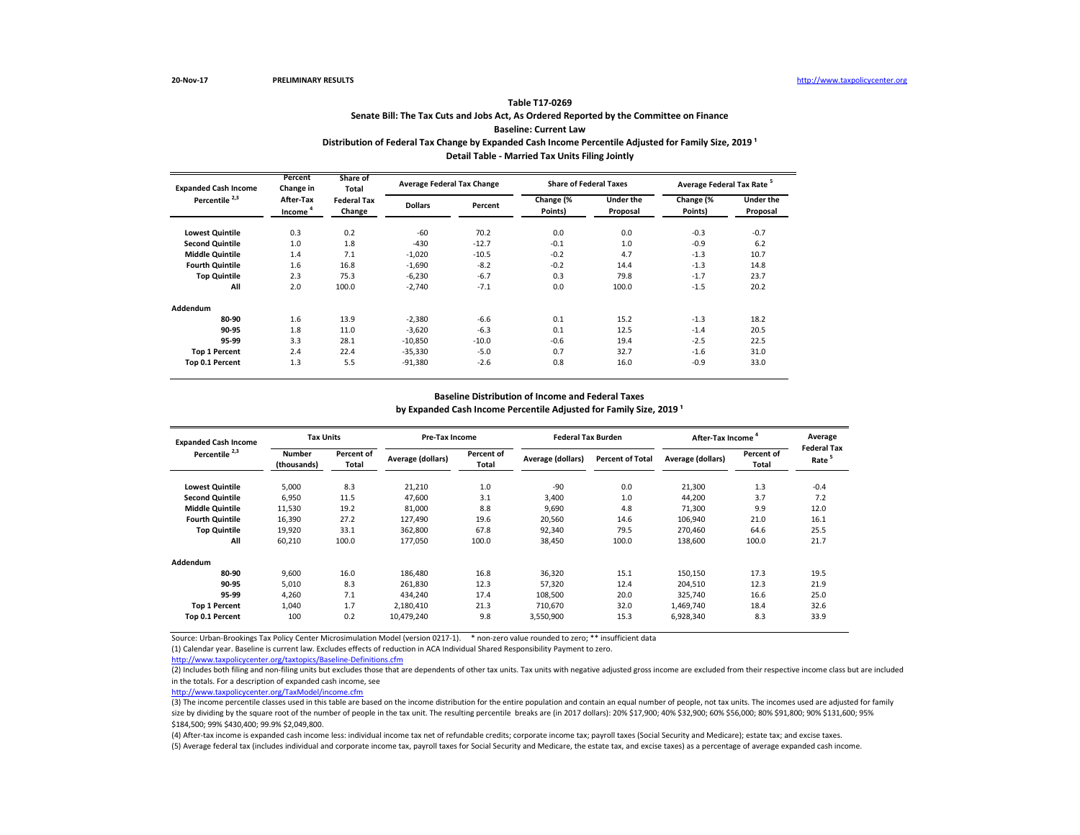# **Senate Bill: The Tax Cuts and Jobs Act, As Ordered Reported by the Committee on Finance Baseline: Current Law Table T17-0269** Distribution of Federal Tax Change by Expanded Cash Income Percentile Adjusted for Family Size, 2019<sup>1</sup> **Detail Table - Married Tax Units Filing Jointly**

| <b>Expanded Cash Income</b> | Percent<br>Change in             | Share of<br>Total            | <b>Average Federal Tax Change</b> |         | <b>Share of Federal Taxes</b> |                              | Average Federal Tax Rate <sup>5</sup> |                       |
|-----------------------------|----------------------------------|------------------------------|-----------------------------------|---------|-------------------------------|------------------------------|---------------------------------------|-----------------------|
| Percentile <sup>2,3</sup>   | After-Tax<br>Income <sup>4</sup> | <b>Federal Tax</b><br>Change | <b>Dollars</b>                    | Percent | Change (%<br>Points)          | <b>Under the</b><br>Proposal | Change (%<br>Points)                  | Under the<br>Proposal |
| <b>Lowest Quintile</b>      | 0.3                              | 0.2                          | $-60$                             | 70.2    | 0.0                           | 0.0                          | $-0.3$                                | $-0.7$                |
| <b>Second Quintile</b>      | 1.0                              | 1.8                          | $-430$                            | $-12.7$ | $-0.1$                        | 1.0                          | $-0.9$                                | 6.2                   |
| <b>Middle Quintile</b>      | 1.4                              | 7.1                          | $-1,020$                          | $-10.5$ | $-0.2$                        | 4.7                          | $-1.3$                                | 10.7                  |
| <b>Fourth Quintile</b>      | 1.6                              | 16.8                         | $-1,690$                          | $-8.2$  | $-0.2$                        | 14.4                         | $-1.3$                                | 14.8                  |
| <b>Top Quintile</b>         | 2.3                              | 75.3                         | $-6,230$                          | $-6.7$  | 0.3                           | 79.8                         | $-1.7$                                | 23.7                  |
| All                         | 2.0                              | 100.0                        | $-2,740$                          | $-7.1$  | 0.0                           | 100.0                        | $-1.5$                                | 20.2                  |
| Addendum                    |                                  |                              |                                   |         |                               |                              |                                       |                       |
| 80-90                       | 1.6                              | 13.9                         | $-2,380$                          | $-6.6$  | 0.1                           | 15.2                         | $-1.3$                                | 18.2                  |
| 90-95                       | 1.8                              | 11.0                         | $-3,620$                          | $-6.3$  | 0.1                           | 12.5                         | $-1.4$                                | 20.5                  |
| 95-99                       | 3.3                              | 28.1                         | $-10,850$                         | $-10.0$ | $-0.6$                        | 19.4                         | $-2.5$                                | 22.5                  |
| <b>Top 1 Percent</b>        | 2.4                              | 22.4                         | $-35,330$                         | $-5.0$  | 0.7                           | 32.7                         | $-1.6$                                | 31.0                  |
| Top 0.1 Percent             | 1.3                              | 5.5                          | $-91,380$                         | $-2.6$  | 0.8                           | 16.0                         | $-0.9$                                | 33.0                  |

#### **Baseline Distribution of Income and Federal Taxes**

by Expanded Cash Income Percentile Adjusted for Family Size, 2019<sup>1</sup>

| <b>Expanded Cash Income</b> | <b>Tax Units</b>             |                     | <b>Pre-Tax Income</b> |                     | <b>Federal Tax Burden</b> |                         | After-Tax Income  |                     | Average<br><b>Federal Tax</b> |
|-----------------------------|------------------------------|---------------------|-----------------------|---------------------|---------------------------|-------------------------|-------------------|---------------------|-------------------------------|
| Percentile <sup>2,3</sup>   | <b>Number</b><br>(thousands) | Percent of<br>Total | Average (dollars)     | Percent of<br>Total | Average (dollars)         | <b>Percent of Total</b> | Average (dollars) | Percent of<br>Total | Rate <sup>5</sup>             |
| <b>Lowest Quintile</b>      | 5,000                        | 8.3                 | 21,210                | 1.0                 | $-90$                     | 0.0                     | 21,300            | 1.3                 | $-0.4$                        |
| <b>Second Quintile</b>      | 6,950                        | 11.5                | 47,600                | 3.1                 | 3,400                     | 1.0                     | 44,200            | 3.7                 | 7.2                           |
| <b>Middle Quintile</b>      | 11,530                       | 19.2                | 81,000                | 8.8                 | 9,690                     | 4.8                     | 71.300            | 9.9                 | 12.0                          |
| <b>Fourth Quintile</b>      | 16,390                       | 27.2                | 127,490               | 19.6                | 20,560                    | 14.6                    | 106,940           | 21.0                | 16.1                          |
| <b>Top Quintile</b>         | 19,920                       | 33.1                | 362,800               | 67.8                | 92,340                    | 79.5                    | 270,460           | 64.6                | 25.5                          |
| All                         | 60,210                       | 100.0               | 177,050               | 100.0               | 38,450                    | 100.0                   | 138,600           | 100.0               | 21.7                          |
| Addendum                    |                              |                     |                       |                     |                           |                         |                   |                     |                               |
| 80-90                       | 9,600                        | 16.0                | 186,480               | 16.8                | 36,320                    | 15.1                    | 150,150           | 17.3                | 19.5                          |
| 90-95                       | 5,010                        | 8.3                 | 261,830               | 12.3                | 57,320                    | 12.4                    | 204,510           | 12.3                | 21.9                          |
| 95-99                       | 4.260                        | 7.1                 | 434.240               | 17.4                | 108.500                   | 20.0                    | 325,740           | 16.6                | 25.0                          |
| <b>Top 1 Percent</b>        | 1,040                        | 1.7                 | 2,180,410             | 21.3                | 710.670                   | 32.0                    | 1,469,740         | 18.4                | 32.6                          |
| Top 0.1 Percent             | 100                          | 0.2                 | 10,479,240            | 9.8                 | 3,550,900                 | 15.3                    | 6,928,340         | 8.3                 | 33.9                          |

Source: Urban-Brookings Tax Policy Center Microsimulation Model (version 0217-1). \* non-zero value rounded to zero; \*\* insufficient data

(1) Calendar year. Baseline is current law. Excludes effects of reduction in ACA Individual Shared Responsibility Payment to zero.

<http://www.taxpolicycenter.org/taxtopics/Baseline-Definitions.cfm>

(2) Includes both filing and non-filing units but excludes those that are dependents of other tax units. Tax units with negative adjusted gross income are excluded from their respective income class but are included in the totals. For a description of expanded cash income, see

[http://www.taxpolicycente](http://www.taxpolicycenter.org/TaxModel/income.cfm)r.org/TaxModel/income.cfm

(3) The income percentile classes used in this table are based on the income distribution for the entire population and contain an equal number of people, not tax units. The incomes used are adjusted for family size by dividing by the square root of the number of people in the tax unit. The resulting percentile breaks are (in 2017 dollars): 20% \$17,900; 40% \$32,900; 60% \$56,000; 80% \$91,800; 90% \$13,600; 90% \$131,600; 95% \$184,500; 99% \$430,400; 99.9% \$2,049,800.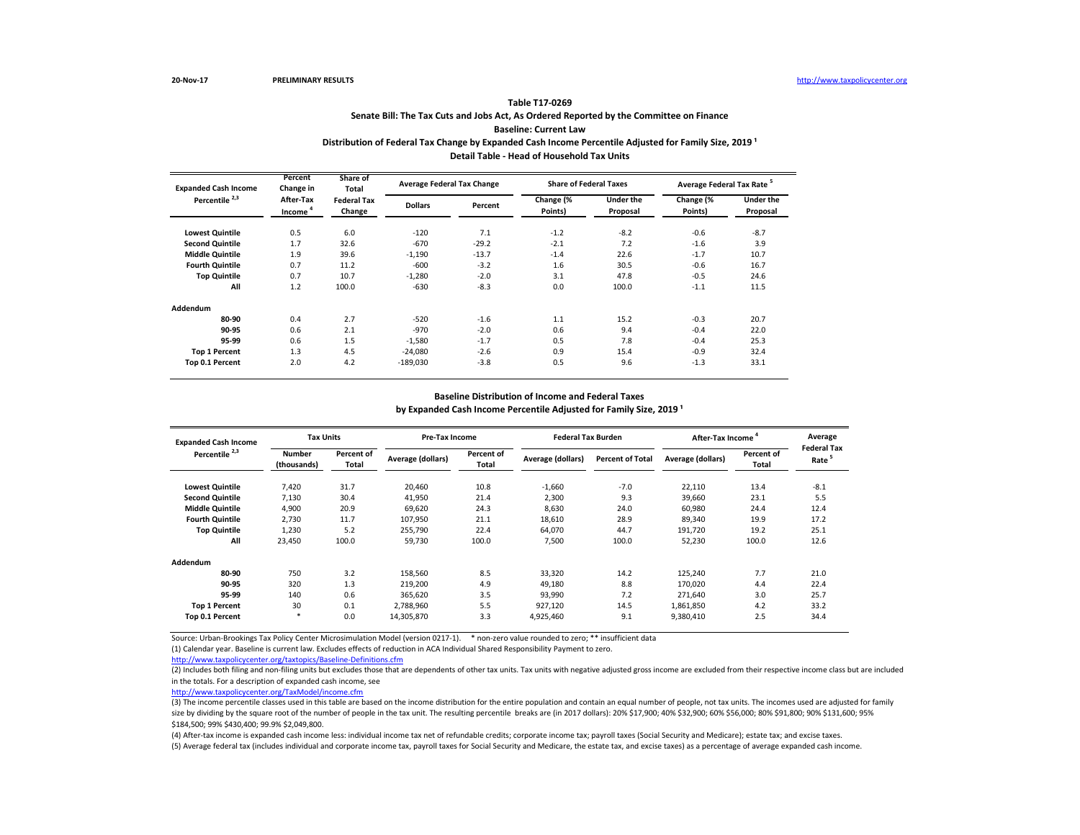## **Senate Bill: The Tax Cuts and Jobs Act, As Ordered Reported by the Committee on Finance Baseline: Current Law Table T17-0269** Distribution of Federal Tax Change by Expanded Cash Income Percentile Adjusted for Family Size, 2019<sup>1</sup>

**Detail Table - Head of Household Tax Units**

| <b>Expanded Cash Income</b> | Percent<br>Change in             | Share of<br>Total<br><b>Federal Tax</b><br>Change |                | <b>Average Federal Tax Change</b> |                      | <b>Share of Federal Taxes</b> | Average Federal Tax Rate <sup>5</sup> |                              |  |
|-----------------------------|----------------------------------|---------------------------------------------------|----------------|-----------------------------------|----------------------|-------------------------------|---------------------------------------|------------------------------|--|
| Percentile <sup>2,3</sup>   | After-Tax<br>Income <sup>4</sup> |                                                   | <b>Dollars</b> | Percent                           | Change (%<br>Points) | <b>Under the</b><br>Proposal  | Change (%<br>Points)                  | <b>Under the</b><br>Proposal |  |
| <b>Lowest Quintile</b>      | 0.5                              | 6.0                                               | $-120$         | 7.1                               | $-1.2$               | $-8.2$                        | $-0.6$                                | $-8.7$                       |  |
| <b>Second Quintile</b>      | 1.7                              | 32.6                                              | $-670$         | $-29.2$                           | $-2.1$               | 7.2                           | $-1.6$                                | 3.9                          |  |
| <b>Middle Quintile</b>      | 1.9                              | 39.6                                              | $-1,190$       | $-13.7$                           | $-1.4$               | 22.6                          | $-1.7$                                | 10.7                         |  |
| <b>Fourth Quintile</b>      | 0.7                              | 11.2                                              | $-600$         | $-3.2$                            | 1.6                  | 30.5                          | $-0.6$                                | 16.7                         |  |
| <b>Top Quintile</b>         | 0.7                              | 10.7                                              | $-1,280$       | $-2.0$                            | 3.1                  | 47.8                          | $-0.5$                                | 24.6                         |  |
| All                         | 1.2                              | 100.0                                             | $-630$         | $-8.3$                            | 0.0                  | 100.0                         | $-1.1$                                | 11.5                         |  |
| Addendum                    |                                  |                                                   |                |                                   |                      |                               |                                       |                              |  |
| 80-90                       | 0.4                              | 2.7                                               | $-520$         | $-1.6$                            | 1.1                  | 15.2                          | $-0.3$                                | 20.7                         |  |
| 90-95                       | 0.6                              | 2.1                                               | $-970$         | $-2.0$                            | 0.6                  | 9.4                           | $-0.4$                                | 22.0                         |  |
| 95-99                       | 0.6                              | 1.5                                               | $-1,580$       | $-1.7$                            | 0.5                  | 7.8                           | $-0.4$                                | 25.3                         |  |
| <b>Top 1 Percent</b>        | 1.3                              | 4.5                                               | $-24,080$      | $-2.6$                            | 0.9                  | 15.4                          | $-0.9$                                | 32.4                         |  |
| Top 0.1 Percent             | 2.0                              | 4.2                                               | $-189,030$     | $-3.8$                            | 0.5                  | 9.6                           | $-1.3$                                | 33.1                         |  |

#### **Baseline Distribution of Income and Federal Taxes**

by Expanded Cash Income Percentile Adjusted for Family Size, 2019<sup>1</sup>

| <b>Expanded Cash Income</b> | <b>Tax Units</b>             |                     | <b>Pre-Tax Income</b> |                            | <b>Federal Tax Burden</b> |                         | After-Tax Income  |                     | Average<br><b>Federal Tax</b> |
|-----------------------------|------------------------------|---------------------|-----------------------|----------------------------|---------------------------|-------------------------|-------------------|---------------------|-------------------------------|
| Percentile <sup>2,3</sup>   | <b>Number</b><br>(thousands) | Percent of<br>Total | Average (dollars)     | Percent of<br><b>Total</b> | Average (dollars)         | <b>Percent of Total</b> | Average (dollars) | Percent of<br>Total | Rate <sup>5</sup>             |
| <b>Lowest Quintile</b>      | 7,420                        | 31.7                | 20,460                | 10.8                       | $-1,660$                  | $-7.0$                  | 22,110            | 13.4                | $-8.1$                        |
| <b>Second Quintile</b>      | 7,130                        | 30.4                | 41,950                | 21.4                       | 2,300                     | 9.3                     | 39.660            | 23.1                | 5.5                           |
| <b>Middle Quintile</b>      | 4,900                        | 20.9                | 69,620                | 24.3                       | 8.630                     | 24.0                    | 60,980            | 24.4                | 12.4                          |
| <b>Fourth Quintile</b>      | 2,730                        | 11.7                | 107,950               | 21.1                       | 18,610                    | 28.9                    | 89,340            | 19.9                | 17.2                          |
| <b>Top Quintile</b>         | 1,230                        | 5.2                 | 255,790               | 22.4                       | 64,070                    | 44.7                    | 191,720           | 19.2                | 25.1                          |
| All                         | 23,450                       | 100.0               | 59,730                | 100.0                      | 7,500                     | 100.0                   | 52,230            | 100.0               | 12.6                          |
| Addendum                    |                              |                     |                       |                            |                           |                         |                   |                     |                               |
| 80-90                       | 750                          | 3.2                 | 158,560               | 8.5                        | 33,320                    | 14.2                    | 125,240           | 7.7                 | 21.0                          |
| 90-95                       | 320                          | 1.3                 | 219,200               | 4.9                        | 49.180                    | 8.8                     | 170,020           | 4.4                 | 22.4                          |
| 95-99                       | 140                          | 0.6                 | 365.620               | 3.5                        | 93,990                    | 7.2                     | 271.640           | 3.0                 | 25.7                          |
| <b>Top 1 Percent</b>        | 30                           | 0.1                 | 2,788,960             | 5.5                        | 927,120                   | 14.5                    | 1,861,850         | 4.2                 | 33.2                          |
| Top 0.1 Percent             | $\ast$                       | 0.0                 | 14,305,870            | 3.3                        | 4,925,460                 | 9.1                     | 9,380,410         | 2.5                 | 34.4                          |

Source: Urban-Brookings Tax Policy Center Microsimulation Model (version 0217-1). \* non-zero value rounded to zero; \*\* insufficient data

(1) Calendar year. Baseline is current law. Excludes effects of reduction in ACA Individual Shared Responsibility Payment to zero.

<http://www.taxpolicycenter.org/taxtopics/Baseline-Definitions.cfm>

(2) Includes both filing and non-filing units but excludes those that are dependents of other tax units. Tax units with negative adjusted gross income are excluded from their respective income class but are included in the totals. For a description of expanded cash income, see

[http://www.taxpolicycente](http://www.taxpolicycenter.org/TaxModel/income.cfm)r.org/TaxModel/income.cfm

(3) The income percentile classes used in this table are based on the income distribution for the entire population and contain an equal number of people, not tax units. The incomes used are adjusted for family size by dividing by the square root of the number of people in the tax unit. The resulting percentile breaks are (in 2017 dollars): 20% \$17,900; 40% \$32,900; 60% \$56,000; 80% \$91,800; 90% \$13,600; 90% \$131,600; 95% \$184,500; 99% \$430,400; 99.9% \$2,049,800.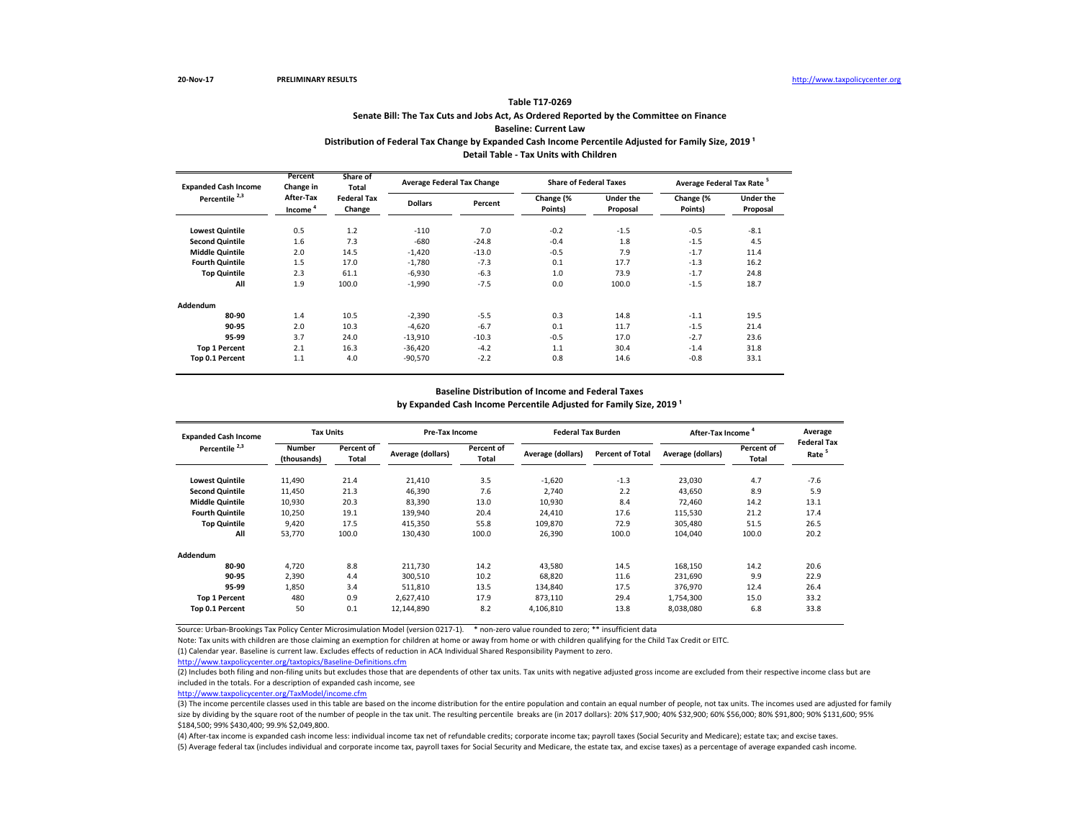# **Senate Bill: The Tax Cuts and Jobs Act, As Ordered Reported by the Committee on Finance Baseline: Current Law Table T17-0269**

# Distribution of Federal Tax Change by Expanded Cash Income Percentile Adjusted for Family Size, 2019<sup>1</sup>

**Detail Table - Tax Units with Children**

| <b>Expanded Cash Income</b> | Percent<br>Change in             | Share of<br>Total            |                | <b>Average Federal Tax Change</b> |                      | <b>Share of Federal Taxes</b> | Average Federal Tax Rate <sup>5</sup> |                              |  |
|-----------------------------|----------------------------------|------------------------------|----------------|-----------------------------------|----------------------|-------------------------------|---------------------------------------|------------------------------|--|
| Percentile <sup>2,3</sup>   | After-Tax<br>Income <sup>4</sup> | <b>Federal Tax</b><br>Change | <b>Dollars</b> | Percent                           | Change (%<br>Points) | <b>Under the</b><br>Proposal  | Change (%<br>Points)                  | <b>Under the</b><br>Proposal |  |
| <b>Lowest Quintile</b>      | 0.5                              | 1.2                          | $-110$         | 7.0                               | $-0.2$               | $-1.5$                        | $-0.5$                                | $-8.1$                       |  |
| <b>Second Quintile</b>      | 1.6                              | 7.3                          | $-680$         | $-24.8$                           | $-0.4$               | 1.8                           | $-1.5$                                | 4.5                          |  |
| <b>Middle Quintile</b>      | 2.0                              | 14.5                         | $-1.420$       | $-13.0$                           | $-0.5$               | 7.9                           | $-1.7$                                | 11.4                         |  |
| <b>Fourth Quintile</b>      | 1.5                              | 17.0                         | $-1,780$       | $-7.3$                            | 0.1                  | 17.7                          | $-1.3$                                | 16.2                         |  |
| <b>Top Quintile</b>         | 2.3                              | 61.1                         | $-6.930$       | $-6.3$                            | 1.0                  | 73.9                          | $-1.7$                                | 24.8                         |  |
| All                         | 1.9                              | 100.0                        | $-1,990$       | $-7.5$                            | 0.0                  | 100.0                         | $-1.5$                                | 18.7                         |  |
| Addendum                    |                                  |                              |                |                                   |                      |                               |                                       |                              |  |
| 80-90                       | 1.4                              | 10.5                         | $-2,390$       | $-5.5$                            | 0.3                  | 14.8                          | $-1.1$                                | 19.5                         |  |
| 90-95                       | 2.0                              | 10.3                         | $-4.620$       | $-6.7$                            | 0.1                  | 11.7                          | $-1.5$                                | 21.4                         |  |
| 95-99                       | 3.7                              | 24.0                         | $-13,910$      | $-10.3$                           | $-0.5$               | 17.0                          | $-2.7$                                | 23.6                         |  |
| <b>Top 1 Percent</b>        | 2.1                              | 16.3                         | $-36,420$      | $-4.2$                            | 1.1                  | 30.4                          | $-1.4$                                | 31.8                         |  |
| Top 0.1 Percent             | 1.1                              | 4.0                          | $-90,570$      | $-2.2$                            | 0.8                  | 14.6                          | $-0.8$                                | 33.1                         |  |

#### **Baseline Distribution of Income and Federal Taxes**

by Expanded Cash Income Percentile Adjusted for Family Size, 2019<sup>1</sup>

| <b>Expanded Cash Income</b><br>Percentile <sup>2,3</sup> | <b>Tax Units</b>             |                     | Pre-Tax Income    |                     | <b>Federal Tax Burden</b> |                         | After-Tax Income  |                     | Average                                 |
|----------------------------------------------------------|------------------------------|---------------------|-------------------|---------------------|---------------------------|-------------------------|-------------------|---------------------|-----------------------------------------|
|                                                          | <b>Number</b><br>(thousands) | Percent of<br>Total | Average (dollars) | Percent of<br>Total | Average (dollars)         | <b>Percent of Total</b> | Average (dollars) | Percent of<br>Total | <b>Federal Tax</b><br>Rate <sup>5</sup> |
| <b>Lowest Quintile</b>                                   | 11,490                       | 21.4                | 21,410            | 3.5                 | $-1,620$                  | $-1.3$                  | 23,030            | 4.7                 | $-7.6$                                  |
| <b>Second Quintile</b>                                   | 11,450                       | 21.3                | 46,390            | 7.6                 | 2,740                     | 2.2                     | 43.650            | 8.9                 | 5.9                                     |
| <b>Middle Quintile</b>                                   | 10,930                       | 20.3                | 83,390            | 13.0                | 10,930                    | 8.4                     | 72,460            | 14.2                | 13.1                                    |
| <b>Fourth Quintile</b>                                   | 10,250                       | 19.1                | 139,940           | 20.4                | 24.410                    | 17.6                    | 115,530           | 21.2                | 17.4                                    |
| <b>Top Quintile</b>                                      | 9,420                        | 17.5                | 415,350           | 55.8                | 109,870                   | 72.9                    | 305,480           | 51.5                | 26.5                                    |
| All                                                      | 53,770                       | 100.0               | 130.430           | 100.0               | 26,390                    | 100.0                   | 104,040           | 100.0               | 20.2                                    |
| <b>Addendum</b>                                          |                              |                     |                   |                     |                           |                         |                   |                     |                                         |
| 80-90                                                    | 4.720                        | 8.8                 | 211.730           | 14.2                | 43,580                    | 14.5                    | 168,150           | 14.2                | 20.6                                    |
| 90-95                                                    | 2,390                        | 4.4                 | 300,510           | 10.2                | 68.820                    | 11.6                    | 231,690           | 9.9                 | 22.9                                    |
| 95-99                                                    | 1,850                        | 3.4                 | 511,810           | 13.5                | 134,840                   | 17.5                    | 376,970           | 12.4                | 26.4                                    |
| <b>Top 1 Percent</b>                                     | 480                          | 0.9                 | 2,627,410         | 17.9                | 873,110                   | 29.4                    | 1,754,300         | 15.0                | 33.2                                    |
| Top 0.1 Percent                                          | 50                           | 0.1                 | 12,144,890        | 8.2                 | 4,106,810                 | 13.8                    | 8,038,080         | 6.8                 | 33.8                                    |

Source: Urban-Brookings Tax Policy Center Microsimulation Model (version 0217-1). \* non-zero value rounded to zero; \*\* insufficient data

Note: Tax units with children are those claiming an exemption for children at home or away from home or with children qualifying for the Child Tax Credit or EITC.

(1) Calendar year. Baseline is current law. Excludes effects of reduction in ACA Individual Shared Responsibility Payment to zero.

<http://www.taxpolicycenter.org/taxtopics/Baseline-Definitions.cfm>

(2) Includes both filing and non-filing units but excludes those that are dependents of other tax units. Tax units with negative adjusted gross income are excluded from their respective income class but are included in the totals. For a description of expanded cash income, see

[http://www.taxpolicycente](http://www.taxpolicycenter.org/TaxModel/income.cfm)r.org/TaxModel/income.cfm

(3) The income percentile classes used in this table are based on the income distribution for the entire population and contain an equal number of people, not tax units. The incomes used are adjusted for family size by dividing by the square root of the number of people in the tax unit. The resulting percentile breaks are (in 2017 dollars): 20% \$17,900; 40% \$32,900; 60% \$56,000; 80% \$91,800; 90% \$13,600; 90% \$131,600; 95% \$184,500; 99% \$430,400; 99.9% \$2,049,800.